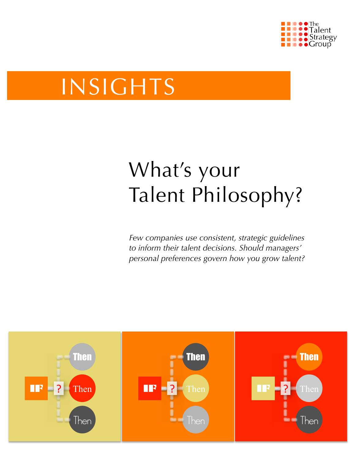

# INSIGHTS

# What's your Talent Philosophy?

*Few companies use consistent, strategic guidelines to inform their talent decisions. Should managers' personal preferences govern how you grow talent?* 

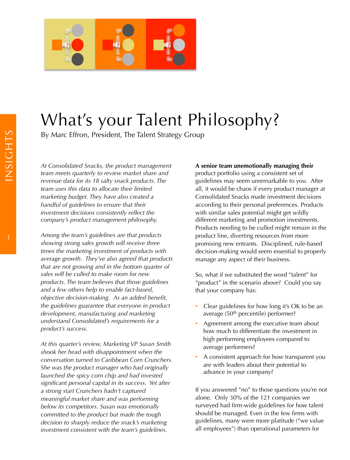

## What's your Talent Philosophy?

By Marc Effron, President, The Talent Strategy Group

*At Consolidated Snacks, the product management team meets quarterly to review market share and revenue data for its 18 salty snack products. The team uses this data to allocate their limited marketing budget. They have also created a handful of guidelines to ensure that their investment decisions consistently reflect the company's product management philosophy.* 

*Among the team's guidelines are that products showing strong sales growth will receive three times the marketing investment of products with average growth. They've also agreed that products that are not growing and in the bottom quarter of sales will be culled to make room for new products. The team believes that those guidelines and a few others help to enable fact-based, objective decision-making. As an added benefit, the guidelines guarantee that everyone in product development, manufacturing and marketing understand Consolidated's requirements for a product's success.*

*At this quarter's review, Marketing VP Susan Smith shook her head with disappointment when the conversation turned to Caribbean Corn Crunchers. She was the product manager who had originally launched the spicy corn chip and had invested significant personal capital in its success. Yet after a strong start Crunchers hadn't captured meaningful market share and was performing below its competitors. Susan was emotionally committed to the product but made the tough decision to sharply reduce the snack's marketing investment consistent with the team's guidelines.* 

#### **A senior team unemotionally managing their**

product portfolio using a consistent set of guidelines may seem unremarkable to you. After all, it would be chaos if every product manager at Consolidated Snacks made investment decisions according to their personal preferences. Products with similar sales potential might get wildly different marketing and promotion investments. Products needing to be culled might remain in the product line, diverting resources from more promising new entrants. Disciplined, rule-based decision-making would seem essential to properly manage any aspect of their business.

So, what if we substituted the word "talent" for "product" in the scenario above? Could you say that your company has:

- Clear guidelines for how long it's OK to be an average (50<sup>th</sup> percentile) performer?
- Agreement among the executive team about how much to differentiate the investment in high performing employees compared to average performers?
- A consistent approach for how transparent you are with leaders about their potential to advance in your company?

If you answered "no" to those questions you're not alone. Only 30% of the 121 companies we surveyed had firm-wide guidelines for how talent should be managed. Even in the few firms with guidelines, many were more platitude ("we value all employees") than operational parameters for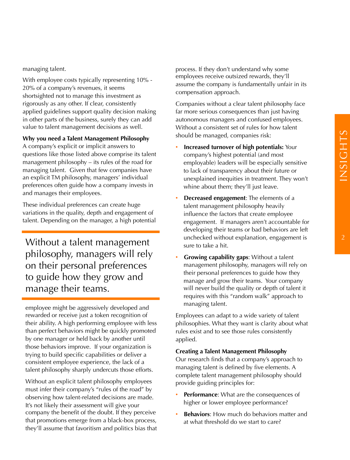managing talent.

With employee costs typically representing 10% - 20% of a company's revenues, it seems shortsighted not to manage this investment as rigorously as any other. If clear, consistently applied guidelines support quality decision making in other parts of the business, surely they can add value to talent management decisions as well.

#### **Why you need a Talent Management Philosophy**

A company's explicit or implicit answers to questions like those listed above comprise its talent management philosophy – its rules of the road for managing talent. Given that few companies have an explicit TM philosophy, managers' individual preferences often guide how a company invests in and manages their employees.

These individual preferences can create huge variations in the quality, depth and engagement of talent. Depending on the manager, a high potential

Without a talent management philosophy, managers will rely on their personal preferences to guide how they grow and manage their teams.

employee might be aggressively developed and rewarded or receive just a token recognition of their ability. A high performing employee with less than perfect behaviors might be quickly promoted by one manager or held back by another until those behaviors improve. If your organization is trying to build specific capabilities or deliver a consistent employee experience, the lack of a talent philosophy sharply undercuts those efforts.

Without an explicit talent philosophy employees must infer their company's "rules of the road" by observing how talent-related decisions are made. It's not likely their assessment will give your company the benefit of the doubt. If they perceive that promotions emerge from a black-box process, they'll assume that favoritism and politics bias that process. If they don't understand why some employees receive outsized rewards, they'll assume the company is fundamentally unfair in its compensation approach.

Companies without a clear talent philosophy face far more serious consequences than just having autonomous managers and confused employees. Without a consistent set of rules for how talent should be managed, companies risk:

- **Increased turnover of high potentials:** Your company's highest potential (and most employable) leaders will be especially sensitive to lack of transparency about their future or unexplained inequities in treatment. They won't whine about them; they'll just leave.
- **Decreased engagement**: The elements of a talent management philosophy heavily influence the factors that create employee engagement. If managers aren't accountable for developing their teams or bad behaviors are left unchecked without explanation, engagement is sure to take a hit.
- **Growing capability gaps**: Without a talent management philosophy, managers will rely on their personal preferences to guide how they manage and grow their teams. Your company will never build the quality or depth of talent it requires with this "random walk" approach to managing talent.

Employees can adapt to a wide variety of talent philosophies. What they want is clarity about what rules exist and to see those rules consistently applied.

#### **Creating a Talent Management Philosophy**

Our research finds that a company's approach to managing talent is defined by five elements. A complete talent management philosophy should provide guiding principles for:

- **Performance:** What are the consequences of higher or lower employee performance?
- **Behaviors:** How much do behaviors matter and at what threshold do we start to care?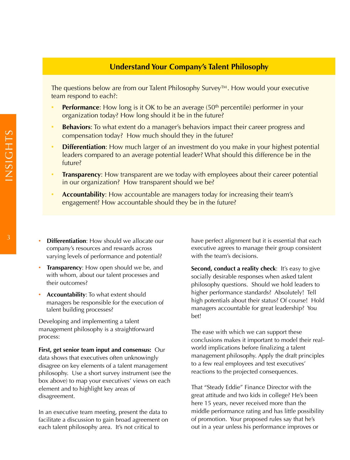### **Understand Your Company's Talent Philosophy**

The questions below are from our Talent Philosophy Survey™. How would your executive team respond to each?:

- **Performance:** How long is it OK to be an average (50<sup>th</sup> percentile) performer in your organization today? How long should it be in the future?
- **Behaviors**: To what extent do a manager's behaviors impact their career progress and compensation today? How much should they in the future?
- **Differentiation**: How much larger of an investment do you make in your highest potential leaders compared to an average potential leader? What should this difference be in the future?
- **Transparency:** How transparent are we today with employees about their career potential in our organization? How transparent should we be?
- **Accountability**: How accountable are managers today for increasing their team's engagement? How accountable should they be in the future?
- <sup>3</sup> **Differentiation**: How should we allocate our company's resources and rewards across varying levels of performance and potential?
	- **Transparency**: How open should we be, and with whom, about our talent processes and their outcomes?
	- **Accountability**: To what extent should managers be responsible for the execution of talent building processes?

Developing and implementing a talent management philosophy is a straightforward process:

**First, get senior team input and consensus:** Our data shows that executives often unknowingly disagree on key elements of a talent management philosophy. Use a short survey instrument (see the box above) to map your executives' views on each element and to highlight key areas of disagreement.

In an executive team meeting, present the data to facilitate a discussion to gain broad agreement on each talent philosophy area. It's not critical to

have perfect alignment but it is essential that each executive agrees to manage their group consistent with the team's decisions.

**Second, conduct a reality check:** It's easy to give socially desirable responses when asked talent philosophy questions. Should we hold leaders to higher performance standards? Absolutely! Tell high potentials about their status? Of course! Hold managers accountable for great leadership? You bet!

The ease with which we can support these conclusions makes it important to model their realworld implications before finalizing a talent management philosophy. Apply the draft principles to a few real employees and test executives' reactions to the projected consequences.

That "Steady Eddie" Finance Director with the great attitude and two kids in college? He's been here 15 years, never received more than the middle performance rating and has little possibility of promotion. Your proposed rules say that he's out in a year unless his performance improves or